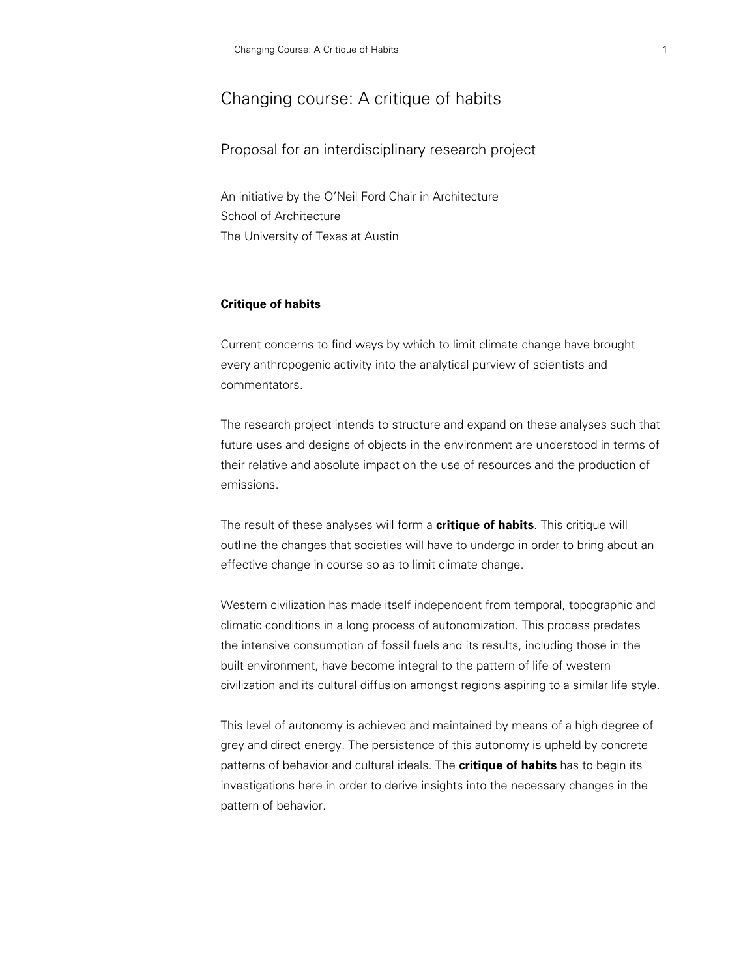# Changing course: A critique of habits

Proposal for an interdisciplinary research project

An initiative by the O'Neil Ford Chair in Architecture School of Architecture The University of Texas at Austin

# **Critique of habits**

Current concerns to find ways by which to limit climate change have brought every anthropogenic activity into the analytical purview of scientists and commentators.

The research project intends to structure and expand on these analyses such that future uses and designs of objects in the environment are understood in terms of their relative and absolute impact on the use of resources and the production of emissions.

The result of these analyses will form a **critique of habits**. This critique will outline the changes that societies will have to undergo in order to bring about an effective change in course so as to limit climate change.

Western civilization has made itself independent from temporal, topographic and climatic conditions in a long process of autonomization. This process predates the intensive consumption of fossil fuels and its results, including those in the built environment, have become integral to the pattern of life of western civilization and its cultural diffusion amongst regions aspiring to a similar life style.

This level of autonomy is achieved and maintained by means of a high degree of grey and direct energy. The persistence of this autonomy is upheld by concrete patterns of behavior and cultural ideals. The **critique of habits** has to begin its investigations here in order to derive insights into the necessary changes in the pattern of behavior.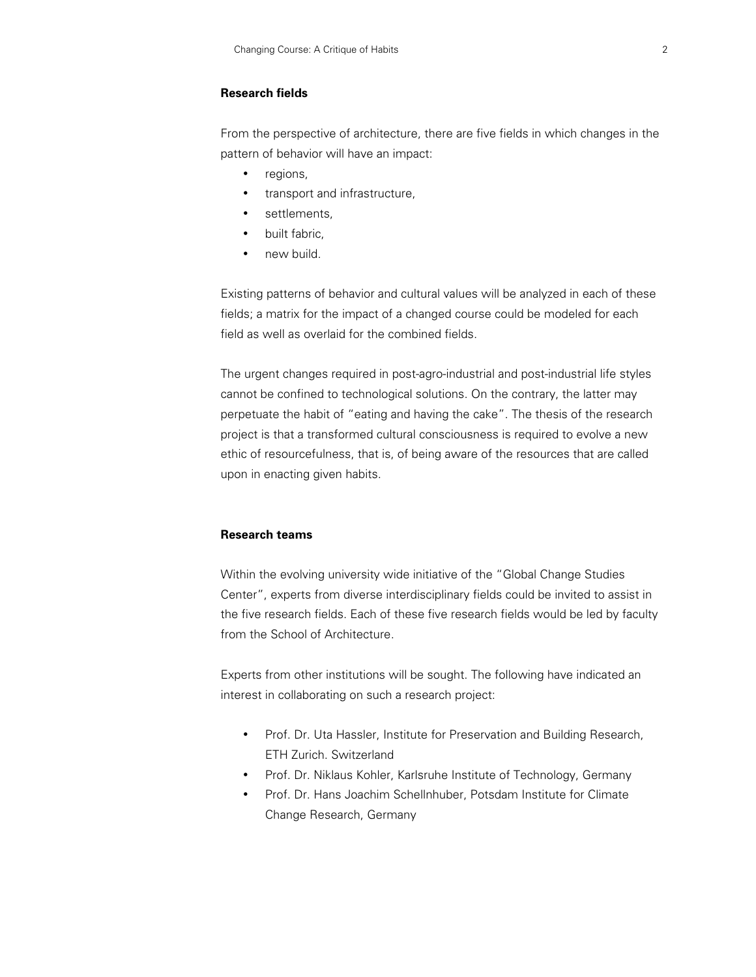# **Research fields**

From the perspective of architecture, there are five fields in which changes in the pattern of behavior will have an impact:

- regions,
- transport and infrastructure,
- settlements.
- built fabric,
- new build.

Existing patterns of behavior and cultural values will be analyzed in each of these fields; a matrix for the impact of a changed course could be modeled for each field as well as overlaid for the combined fields.

The urgent changes required in post-agro-industrial and post-industrial life styles cannot be confined to technological solutions. On the contrary, the latter may perpetuate the habit of "eating and having the cake". The thesis of the research project is that a transformed cultural consciousness is required to evolve a new ethic of resourcefulness, that is, of being aware of the resources that are called upon in enacting given habits.

#### **Research teams**

Within the evolving university wide initiative of the "Global Change Studies Center", experts from diverse interdisciplinary fields could be invited to assist in the five research fields. Each of these five research fields would be led by faculty from the School of Architecture.

Experts from other institutions will be sought. The following have indicated an interest in collaborating on such a research project:

- Prof. Dr. Uta Hassler, Institute for Preservation and Building Research, ETH Zurich. Switzerland
- Prof. Dr. Niklaus Kohler, Karlsruhe Institute of Technology, Germany
- Prof. Dr. Hans Joachim Schellnhuber, Potsdam Institute for Climate Change Research, Germany